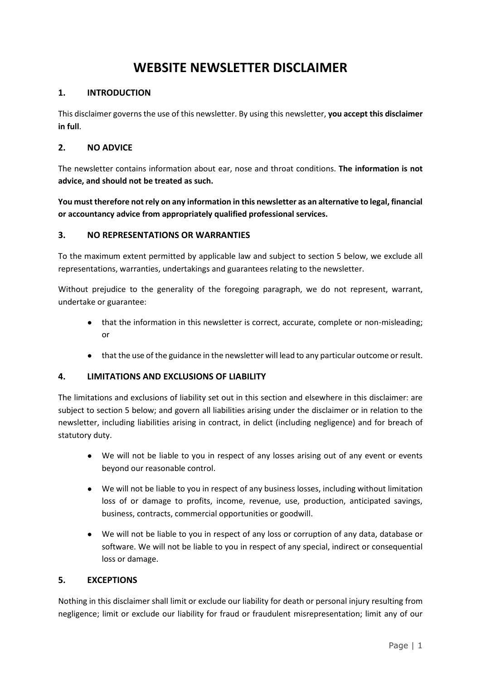# **WEBSITE NEWSLETTER DISCLAIMER**

### **1. INTRODUCTION**

This disclaimer governs the use of this newsletter. By using this newsletter, **you accept this disclaimer in full**.

#### **2. NO ADVICE**

The newsletter contains information about ear, nose and throat conditions. **The information is not advice, and should not be treated as such.**

**You must therefore not rely on any information in this newsletter as an alternative to legal, financial or accountancy advice from appropriately qualified professional services.**

#### **3. NO REPRESENTATIONS OR WARRANTIES**

To the maximum extent permitted by applicable law and subject to section 5 below, we exclude all representations, warranties, undertakings and guarantees relating to the newsletter.

Without prejudice to the generality of the foregoing paragraph, we do not represent, warrant, undertake or guarantee:

- that the information in this newsletter is correct, accurate, complete or non-misleading; or
- that the use of the guidance in the newsletter will lead to any particular outcome or result.

#### **4. LIMITATIONS AND EXCLUSIONS OF LIABILITY**

The limitations and exclusions of liability set out in this section and elsewhere in this disclaimer: are subject to section 5 below; and govern all liabilities arising under the disclaimer or in relation to the newsletter, including liabilities arising in contract, in delict (including negligence) and for breach of statutory duty.

- We will not be liable to you in respect of any losses arising out of any event or events beyond our reasonable control.
- We will not be liable to you in respect of any business losses, including without limitation loss of or damage to profits, income, revenue, use, production, anticipated savings, business, contracts, commercial opportunities or goodwill.
- We will not be liable to you in respect of any loss or corruption of any data, database or software. We will not be liable to you in respect of any special, indirect or consequential loss or damage.

#### **5. EXCEPTIONS**

Nothing in this disclaimer shall limit or exclude our liability for death or personal injury resulting from negligence; limit or exclude our liability for fraud or fraudulent misrepresentation; limit any of our